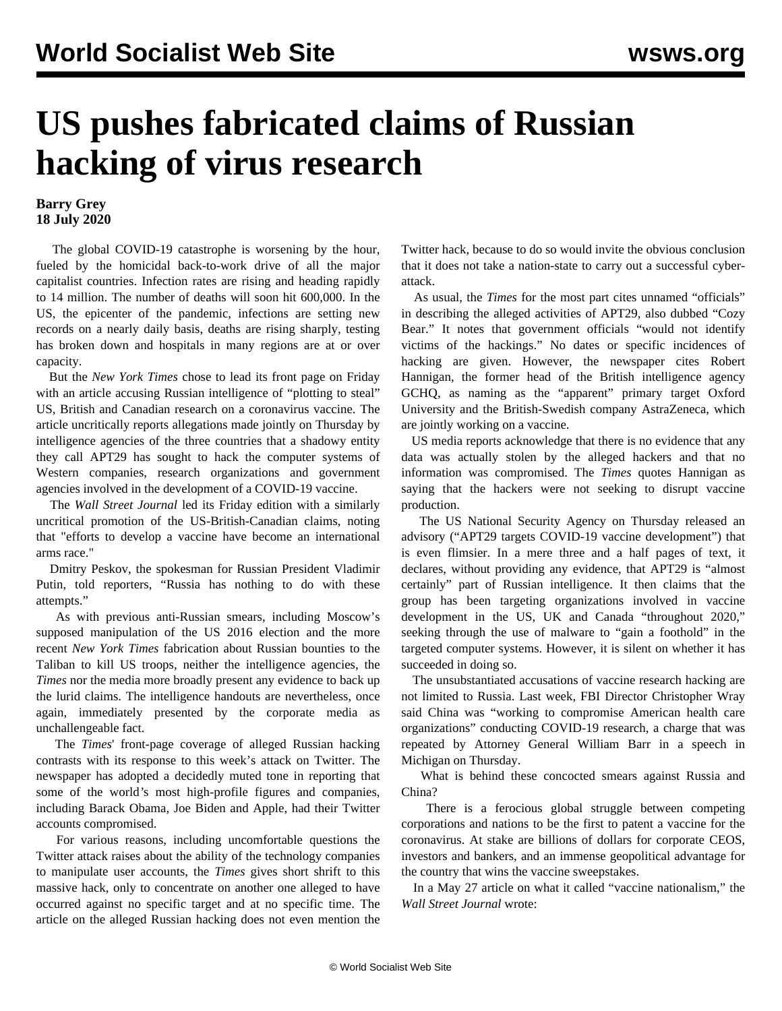## **US pushes fabricated claims of Russian hacking of virus research**

## **Barry Grey 18 July 2020**

 The global COVID-19 catastrophe is worsening by the hour, fueled by the homicidal back-to-work drive of all the major capitalist countries. Infection rates are rising and heading rapidly to 14 million. The number of deaths will soon hit 600,000. In the US, the epicenter of the pandemic, infections are setting new records on a nearly daily basis, deaths are rising sharply, testing has broken down and hospitals in many regions are at or over capacity.

 But the *New York Times* chose to lead its front page on Friday with an article accusing Russian intelligence of "plotting to steal" US, British and Canadian research on a coronavirus vaccine. The article uncritically reports allegations made jointly on Thursday by intelligence agencies of the three countries that a shadowy entity they call APT29 has sought to hack the computer systems of Western companies, research organizations and government agencies involved in the development of a COVID-19 vaccine.

 The *Wall Street Journal* led its Friday edition with a similarly uncritical promotion of the US-British-Canadian claims, noting that "efforts to develop a vaccine have become an international arms race."

 Dmitry Peskov, the spokesman for Russian President Vladimir Putin, told reporters, "Russia has nothing to do with these attempts."

 As with previous anti-Russian smears, including Moscow's supposed manipulation of the US 2016 election and the more recent *New York Times* fabrication about Russian bounties to the Taliban to kill US troops, neither the intelligence agencies, the *Times* nor the media more broadly present any evidence to back up the lurid claims. The intelligence handouts are nevertheless, once again, immediately presented by the corporate media as unchallengeable fact.

 The *Times*' front-page coverage of alleged Russian hacking contrasts with its response to this week's attack on Twitter. The newspaper has adopted a decidedly muted tone in reporting that some of the world*'*s most high-profile figures and companies, including Barack Obama, Joe Biden and Apple, had their Twitter accounts compromised.

 For various reasons, including uncomfortable questions the Twitter attack raises about the ability of the technology companies to manipulate user accounts, the *Times* gives short shrift to this massive hack, only to concentrate on another one alleged to have occurred against no specific target and at no specific time. The article on the alleged Russian hacking does not even mention the

Twitter hack, because to do so would invite the obvious conclusion that it does not take a nation-state to carry out a successful cyberattack.

 As usual, the *Times* for the most part cites unnamed "officials" in describing the alleged activities of APT29, also dubbed "Cozy Bear." It notes that government officials "would not identify victims of the hackings." No dates or specific incidences of hacking are given. However, the newspaper cites Robert Hannigan, the former head of the British intelligence agency GCHQ, as naming as the "apparent" primary target Oxford University and the British-Swedish company AstraZeneca, which are jointly working on a vaccine.

 US media reports acknowledge that there is no evidence that any data was actually stolen by the alleged hackers and that no information was compromised. The *Times* quotes Hannigan as saying that the hackers were not seeking to disrupt vaccine production.

 The US National Security Agency on Thursday released an advisory ("APT29 targets COVID-19 vaccine development") that is even flimsier. In a mere three and a half pages of text, it declares, without providing any evidence, that APT29 is "almost certainly" part of Russian intelligence. It then claims that the group has been targeting organizations involved in vaccine development in the US, UK and Canada "throughout 2020," seeking through the use of malware to "gain a foothold" in the targeted computer systems. However, it is silent on whether it has succeeded in doing so.

 The unsubstantiated accusations of vaccine research hacking are not limited to Russia. Last week, FBI Director Christopher Wray said China was "working to compromise American health care organizations" conducting COVID-19 research, a charge that was repeated by Attorney General William Barr in a speech in Michigan on Thursday.

 What is behind these concocted smears against Russia and China?

 There is a ferocious global struggle between competing corporations and nations to be the first to patent a vaccine for the coronavirus. At stake are billions of dollars for corporate CEOS, investors and bankers, and an immense geopolitical advantage for the country that wins the vaccine sweepstakes.

 In a May 27 article on what it called "vaccine nationalism," the *Wall Street Journal* wrote: